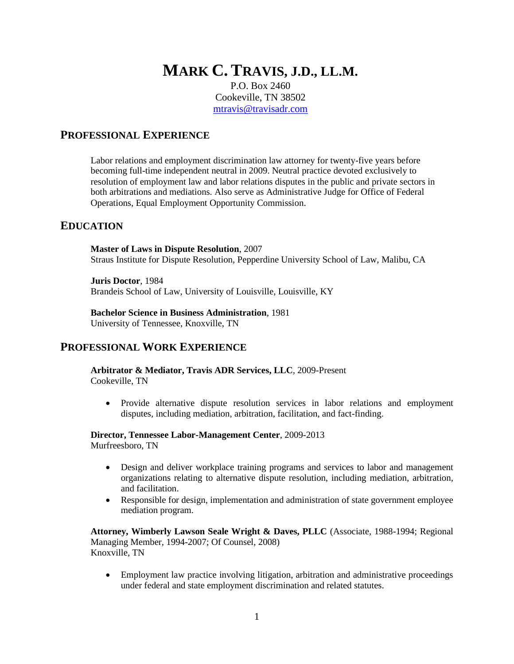# **MARK C. TRAVIS, J.D., LL.M.**

P.O. Box 2460 Cookeville, TN 38502 [mtravis@travisadr.com](mailto:mtravis@travisadr.com)

## **PROFESSIONAL EXPERIENCE**

Labor relations and employment discrimination law attorney for twenty-five years before becoming full-time independent neutral in 2009. Neutral practice devoted exclusively to resolution of employment law and labor relations disputes in the public and private sectors in both arbitrations and mediations. Also serve as Administrative Judge for Office of Federal Operations, Equal Employment Opportunity Commission.

## **EDUCATION**

**Master of Laws in Dispute Resolution**, 2007 Straus Institute for Dispute Resolution, Pepperdine University School of Law, Malibu, CA

**Juris Doctor**, 1984 Brandeis School of Law, University of Louisville, Louisville, KY

**Bachelor Science in Business Administration**, 1981

University of Tennessee, Knoxville, TN

## **PROFESSIONAL WORK EXPERIENCE**

**Arbitrator & Mediator, Travis ADR Services, LLC**, 2009-Present Cookeville, TN

• Provide alternative dispute resolution services in labor relations and employment disputes, including mediation, arbitration, facilitation, and fact-finding.

**Director, Tennessee Labor-Management Center**, 2009-2013

Murfreesboro, TN

- Design and deliver workplace training programs and services to labor and management organizations relating to alternative dispute resolution, including mediation, arbitration, and facilitation.
- Responsible for design, implementation and administration of state government employee mediation program.

**Attorney, Wimberly Lawson Seale Wright & Daves, PLLC** (Associate, 1988-1994; Regional Managing Member, 1994-2007; Of Counsel, 2008) Knoxville, TN

• Employment law practice involving litigation, arbitration and administrative proceedings under federal and state employment discrimination and related statutes.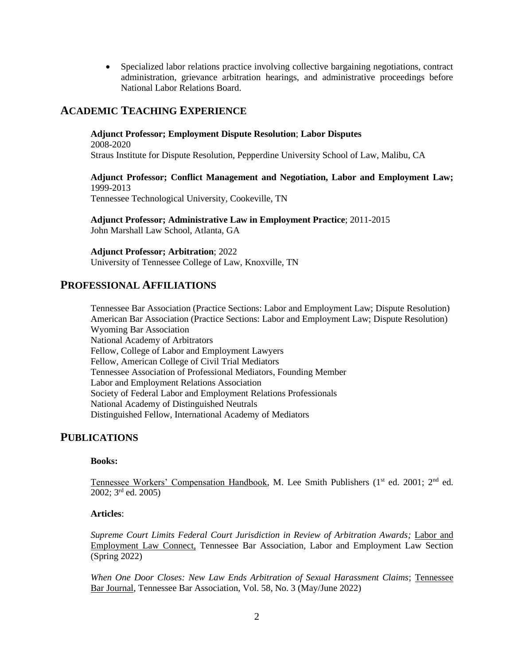• Specialized labor relations practice involving collective bargaining negotiations, contract administration, grievance arbitration hearings, and administrative proceedings before National Labor Relations Board.

# **ACADEMIC TEACHING EXPERIENCE**

#### **Adjunct Professor; Employment Dispute Resolution**; **Labor Disputes**

2008-2020 Straus Institute for Dispute Resolution, Pepperdine University School of Law, Malibu, CA

**Adjunct Professor; Conflict Management and Negotiation, Labor and Employment Law;**  1999-2013 Tennessee Technological University, Cookeville, TN

**Adjunct Professor; Administrative Law in Employment Practice**; 2011-2015 John Marshall Law School, Atlanta, GA

**Adjunct Professor; Arbitration**; 2022 University of Tennessee College of Law, Knoxville, TN

#### **PROFESSIONAL AFFILIATIONS**

Tennessee Bar Association (Practice Sections: Labor and Employment Law; Dispute Resolution) American Bar Association (Practice Sections: Labor and Employment Law; Dispute Resolution) Wyoming Bar Association National Academy of Arbitrators Fellow, College of Labor and Employment Lawyers Fellow, American College of Civil Trial Mediators Tennessee Association of Professional Mediators, Founding Member Labor and Employment Relations Association Society of Federal Labor and Employment Relations Professionals National Academy of Distinguished Neutrals Distinguished Fellow, International Academy of Mediators

## **PUBLICATIONS**

#### **Books:**

Tennessee Workers' Compensation Handbook, M. Lee Smith Publishers (1<sup>st</sup> ed. 2001; 2<sup>nd</sup> ed. 2002; 3rd ed. 2005)

#### **Articles**:

Supreme Court Limits Federal Court Jurisdiction in Review of Arbitration Awards; Labor and Employment Law Connect, Tennessee Bar Association, Labor and Employment Law Section (Spring 2022)

*When One Door Closes: New Law Ends Arbitration of Sexual Harassment Claims*; Tennessee Bar Journal, Tennessee Bar Association, Vol. 58, No. 3 (May/June 2022)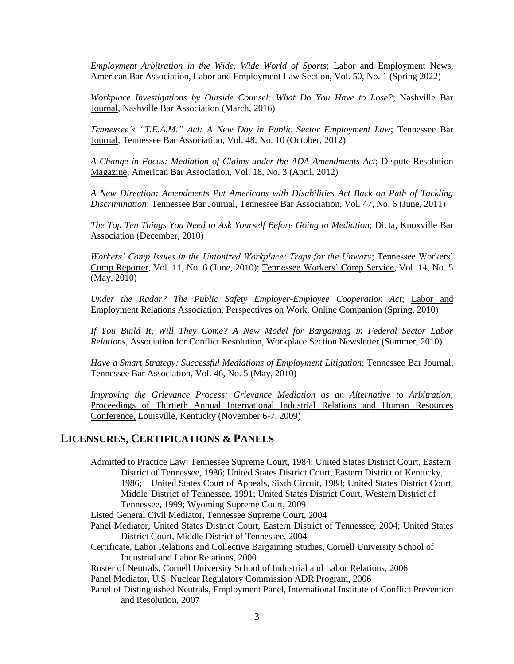*Employment Arbitration in the Wide, Wide World of Sports*; Labor and Employment News, American Bar Association, Labor and Employment Law Section, Vol. 50, No. 1 (Spring 2022)

*Workplace Investigations by Outside Counsel: What Do You Have to Lose?*; Nashville Bar Journal, Nashville Bar Association (March, 2016)

*Tennessee's "T.E.A.M." Act: A New Day in Public Sector Employment Law*; Tennessee Bar Journal, Tennessee Bar Association, Vol. 48, No. 10 (October, 2012)

*A Change in Focus: Mediation of Claims under the ADA Amendments Act*; Dispute Resolution Magazine, American Bar Association, Vol. 18, No. 3 (April, 2012)

*A New Direction: Amendments Put Americans with Disabilities Act Back on Path of Tackling Discrimination*; Tennessee Bar Journal, Tennessee Bar Association, Vol. 47, No. 6 (June, 2011)

*The Top Ten Things You Need to Ask Yourself Before Going to Mediation*; Dicta, Knoxville Bar Association (December, 2010)

*Workers' Comp Issues in the Unionized Workplace: Traps for the Unwary*; Tennessee Workers' Comp Reporter, Vol. 11, No. 6 (June, 2010); Tennessee Workers' Comp Service, Vol. 14, No. 5 (May, 2010)

*Under the Radar? The Public Safety Employer-Employee Cooperation Act*; Labor and Employment Relations Association, Perspectives on Work, Online Companion (Spring, 2010)

*If You Build It, Will They Come? A New Model for Bargaining in Federal Sector Labor Relations*, Association for Conflict Resolution, Workplace Section Newsletter (Summer, 2010)

*Have a Smart Strategy: Successful Mediations of Employment Litigation*; Tennessee Bar Journal, Tennessee Bar Association, Vol. 46, No. 5 (May, 2010)

*Improving the Grievance Process: Grievance Mediation as an Alternative to Arbitration*; Proceedings of Thirtieth Annual International Industrial Relations and Human Resources Conference, Louisville, Kentucky (November 6-7, 2009)

## **LICENSURES, CERTIFICATIONS & PANELS**

Admitted to Practice Law: Tennessee Supreme Court, 1984; United States District Court, Eastern District of Tennessee, 1986; United States District Court, Eastern District of Kentucky, 1986; United States Court of Appeals, Sixth Circuit, 1988; United States District Court, Middle District of Tennessee, 1991; United States District Court, Western District of Tennessee, 1999; Wyoming Supreme Court, 2009

Listed General Civil Mediator, Tennessee Supreme Court, 2004

- Panel Mediator, United States District Court, Eastern District of Tennessee, 2004; United States District Court, Middle District of Tennessee, 2004
- Certificate, Labor Relations and Collective Bargaining Studies, Cornell University School of Industrial and Labor Relations, 2000

Roster of Neutrals, Cornell University School of Industrial and Labor Relations, 2006

Panel Mediator, U.S. Nuclear Regulatory Commission ADR Program, 2006

Panel of Distinguished Neutrals, Employment Panel, International Institute of Conflict Prevention and Resolution, 2007